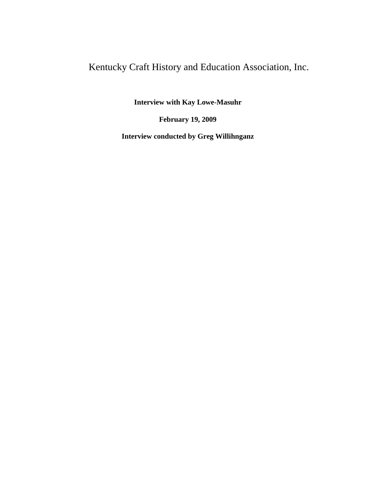## Kentucky Craft History and Education Association, Inc.

**Interview with Kay Lowe-Masuhr**

**February 19, 2009**

**Interview conducted by Greg Willihnganz**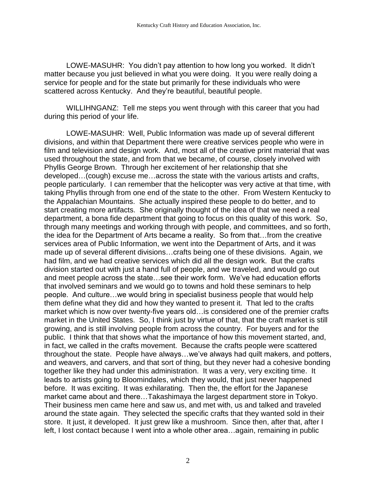LOWE-MASUHR: You didn't pay attention to how long you worked. It didn't matter because you just believed in what you were doing. It you were really doing a service for people and for the state but primarily for these individuals who were scattered across Kentucky. And they're beautiful, beautiful people.

WILLIHNGANZ: Tell me steps you went through with this career that you had during this period of your life.

LOWE-MASUHR: Well, Public Information was made up of several different divisions, and within that Department there were creative services people who were in film and television and design work. And, most all of the creative print material that was used throughout the state, and from that we became, of course, closely involved with Phyllis George Brown. Through her excitement of her relationship that she developed…(cough) excuse me…across the state with the various artists and crafts, people particularly. I can remember that the helicopter was very active at that time, with taking Phyllis through from one end of the state to the other. From Western Kentucky to the Appalachian Mountains. She actually inspired these people to do better, and to start creating more artifacts. She originally thought of the idea of that we need a real department, a bona fide department that going to focus on this quality of this work. So, through many meetings and working through with people, and committees, and so forth, the idea for the Department of Arts became a reality. So from that…from the creative services area of Public Information, we went into the Department of Arts, and it was made up of several different divisions…crafts being one of these divisions. Again, we had film, and we had creative services which did all the design work. But the crafts division started out with just a hand full of people, and we traveled, and would go out and meet people across the state…see their work form. We've had education efforts that involved seminars and we would go to towns and hold these seminars to help people. And culture…we would bring in specialist business people that would help them define what they did and how they wanted to present it. That led to the crafts market which is now over twenty-five years old…is considered one of the premier crafts market in the United States. So, I think just by virtue of that, that the craft market is still growing, and is still involving people from across the country. For buyers and for the public. I think that that shows what the importance of how this movement started, and, in fact, we called in the crafts movement. Because the crafts people were scattered throughout the state. People have always…we've always had quilt makers, and potters, and weavers, and carvers, and that sort of thing, but they never had a cohesive bonding together like they had under this administration. It was a very, very exciting time. It leads to artists going to Bloomindales, which they would, that just never happened before. It was exciting. It was exhilarating. Then the, the effort for the Japanese market came about and there…Takashimaya the largest department store in Tokyo. Their business men came here and saw us, and met with, us and talked and traveled around the state again. They selected the specific crafts that they wanted sold in their store. It just, it developed. It just grew like a mushroom. Since then, after that, after I left, I lost contact because I went into a whole other area…again, remaining in public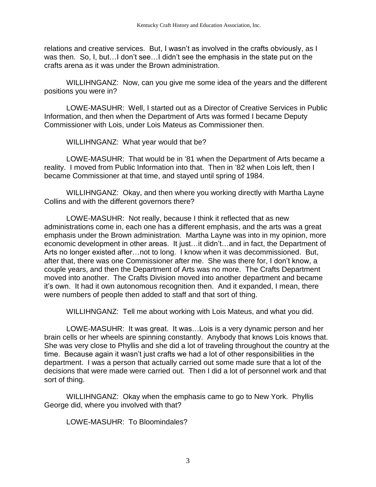relations and creative services. But, I wasn't as involved in the crafts obviously, as I was then. So, I, but…I don't see…I didn't see the emphasis in the state put on the crafts arena as it was under the Brown administration.

WILLIHNGANZ: Now, can you give me some idea of the years and the different positions you were in?

LOWE-MASUHR: Well, I started out as a Director of Creative Services in Public Information, and then when the Department of Arts was formed I became Deputy Commissioner with Lois, under Lois Mateus as Commissioner then.

WILLIHNGANZ: What year would that be?

LOWE-MASUHR: That would be in '81 when the Department of Arts became a reality. I moved from Public Information into that. Then in '82 when Lois left, then I became Commissioner at that time, and stayed until spring of 1984.

WILLIHNGANZ: Okay, and then where you working directly with Martha Layne Collins and with the different governors there?

LOWE-MASUHR: Not really, because I think it reflected that as new administrations come in, each one has a different emphasis, and the arts was a great emphasis under the Brown administration. Martha Layne was into in my opinion, more economic development in other areas. It just…it didn't…and in fact, the Department of Arts no longer existed after…not to long. I know when it was decommissioned. But, after that, there was one Commissioner after me. She was there for, I don't know, a couple years, and then the Department of Arts was no more. The Crafts Department moved into another. The Crafts Division moved into another department and became it's own. It had it own autonomous recognition then. And it expanded, I mean, there were numbers of people then added to staff and that sort of thing.

WILLIHNGANZ: Tell me about working with Lois Mateus, and what you did.

LOWE-MASUHR: It was great. It was…Lois is a very dynamic person and her brain cells or her wheels are spinning constantly. Anybody that knows Lois knows that. She was very close to Phyllis and she did a lot of traveling throughout the country at the time. Because again it wasn't just crafts we had a lot of other responsibilities in the department. I was a person that actually carried out some made sure that a lot of the decisions that were made were carried out. Then I did a lot of personnel work and that sort of thing.

WILLIHNGANZ: Okay when the emphasis came to go to New York. Phyllis George did, where you involved with that?

LOWE-MASUHR: To Bloomindales?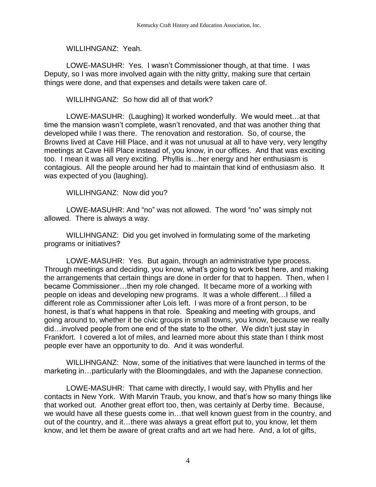WILLIHNGANZ: Yeah.

LOWE-MASUHR: Yes. I wasn't Commissioner though, at that time. I was Deputy, so I was more involved again with the nitty gritty, making sure that certain things were done, and that expenses and details were taken care of.

WILLIHNGANZ: So how did all of that work?

LOWE-MASUHR: (Laughing) It worked wonderfully. We would meet…at that time the mansion wasn't complete, wasn't renovated, and that was another thing that developed while I was there. The renovation and restoration. So, of course, the Browns lived at Cave Hill Place, and it was not unusual at all to have very, very lengthy meetings at Cave Hill Place instead of, you know, in our offices. And that was exciting too. I mean it was all very exciting. Phyllis is…her energy and her enthusiasm is contagious. All the people around her had to maintain that kind of enthusiasm also. It was expected of you (laughing).

WILLIHNGANZ: Now did you?

LOWE-MASUHR: And "no" was not allowed. The word "no" was simply not allowed. There is always a way.

WILLIHNGANZ: Did you get involved in formulating some of the marketing programs or initiatives?

LOWE-MASUHR: Yes. But again, through an administrative type process. Through meetings and deciding, you know, what's going to work best here, and making the arrangements that certain things are done in order for that to happen. Then, when I became Commissioner…then my role changed. It became more of a working with people on ideas and developing new programs. It was a whole different…I filled a different role as Commissioner after Lois left. I was more of a front person, to be honest, is that's what happens in that role. Speaking and meeting with groups, and going around to, whether it be civic groups in small towns, you know, because we really did…involved people from one end of the state to the other. We didn't just stay in Frankfort. I covered a lot of miles, and learned more about this state than I think most people ever have an opportunity to do. And it was wonderful.

WILLIHNGANZ: Now, some of the initiatives that were launched in terms of the marketing in…particularly with the Bloomingdales, and with the Japanese connection.

LOWE-MASUHR: That came with directly, I would say, with Phyllis and her contacts in New York. With Marvin Traub, you know, and that's how so many things like that worked out. Another great effort too, then, was certainly at Derby time. Because, we would have all these guests come in…that well known guest from in the country, and out of the country, and it…there was always a great effort put to, you know, let them know, and let them be aware of great crafts and art we had here. And, a lot of gifts,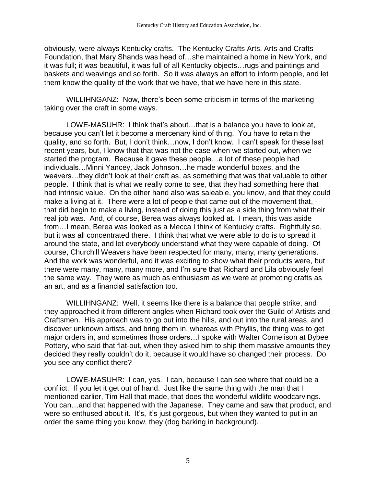obviously, were always Kentucky crafts. The Kentucky Crafts Arts, Arts and Crafts Foundation, that Mary Shands was head of…she maintained a home in New York, and it was full; it was beautiful, it was full of all Kentucky objects…rugs and paintings and baskets and weavings and so forth. So it was always an effort to inform people, and let them know the quality of the work that we have, that we have here in this state.

WILLIHNGANZ: Now, there's been some criticism in terms of the marketing taking over the craft in some ways.

LOWE-MASUHR: I think that's about…that is a balance you have to look at, because you can't let it become a mercenary kind of thing. You have to retain the quality, and so forth. But, I don't think…now, I don't know. I can't speak for these last recent years, but, I know that that was not the case when we started out, when we started the program. Because it gave these people…a lot of these people had individuals…Minni Yancey, Jack Johnson…he made wonderful boxes, and the weavers…they didn't look at their craft as, as something that was that valuable to other people. I think that is what we really come to see, that they had something here that had intrinsic value. On the other hand also was saleable, you know, and that they could make a living at it. There were a lot of people that came out of the movement that,  $\cdot$ that did begin to make a living, instead of doing this just as a side thing from what their real job was. And, of course, Berea was always looked at. I mean, this was aside from…I mean, Berea was looked as a Mecca I think of Kentucky crafts. Rightfully so, but it was all concentrated there. I think that what we were able to do is to spread it around the state, and let everybody understand what they were capable of doing. Of course, Churchill Weavers have been respected for many, many, many generations. And the work was wonderful, and it was exciting to show what their products were, but there were many, many, many more, and I'm sure that Richard and Lila obviously feel the same way. They were as much as enthusiasm as we were at promoting crafts as an art, and as a financial satisfaction too.

WILLIHNGANZ: Well, it seems like there is a balance that people strike, and they approached it from different angles when Richard took over the Guild of Artists and Craftsmen. His approach was to go out into the hills, and out into the rural areas, and discover unknown artists, and bring them in, whereas with Phyllis, the thing was to get major orders in, and sometimes those orders…I spoke with Walter Cornelison at Bybee Pottery, who said that flat-out, when they asked him to ship them massive amounts they decided they really couldn't do it, because it would have so changed their process. Do you see any conflict there?

LOWE-MASUHR: I can, yes. I can, because I can see where that could be a conflict. If you let it get out of hand. Just like the same thing with the man that I mentioned earlier, Tim Hall that made, that does the wonderful wildlife woodcarvings. You can…and that happened with the Japanese. They came and saw that product, and were so enthused about it. It's, it's just gorgeous, but when they wanted to put in an order the same thing you know, they (dog barking in background).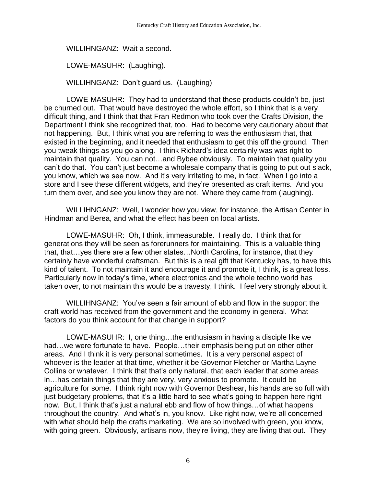WILLIHNGANZ: Wait a second.

LOWE-MASUHR: (Laughing).

WILLIHNGANZ: Don't guard us. (Laughing)

LOWE-MASUHR: They had to understand that these products couldn't be, just be churned out. That would have destroyed the whole effort, so I think that is a very difficult thing, and I think that that Fran Redmon who took over the Crafts Division, the Department I think she recognized that, too. Had to become very cautionary about that not happening. But, I think what you are referring to was the enthusiasm that, that existed in the beginning, and it needed that enthusiasm to get this off the ground. Then you tweak things as you go along. I think Richard's idea certainly was was right to maintain that quality. You can not…and Bybee obviously. To maintain that quality you can't do that. You can't just become a wholesale company that is going to put out slack, you know, which we see now. And it's very irritating to me, in fact. When I go into a store and I see these different widgets, and they're presented as craft items. And you turn them over, and see you know they are not. Where they came from (laughing).

WILLIHNGANZ: Well, I wonder how you view, for instance, the Artisan Center in Hindman and Berea, and what the effect has been on local artists.

LOWE-MASUHR: Oh, I think, immeasurable. I really do. I think that for generations they will be seen as forerunners for maintaining. This is a valuable thing that, that…yes there are a few other states…North Carolina, for instance, that they certainly have wonderful craftsman. But this is a real gift that Kentucky has, to have this kind of talent. To not maintain it and encourage it and promote it, I think, is a great loss. Particularly now in today's time, where electronics and the whole techno world has taken over, to not maintain this would be a travesty, I think. I feel very strongly about it.

WILLIHNGANZ: You've seen a fair amount of ebb and flow in the support the craft world has received from the government and the economy in general. What factors do you think account for that change in support?

LOWE-MASUHR: I, one thing…the enthusiasm in having a disciple like we had…we were fortunate to have. People…their emphasis being put on other other areas. And I think it is very personal sometimes. It is a very personal aspect of whoever is the leader at that time, whether it be Governor Fletcher or Martha Layne Collins or whatever. I think that that's only natural, that each leader that some areas in…has certain things that they are very, very anxious to promote. It could be agriculture for some. I think right now with Governor Beshear, his hands are so full with just budgetary problems, that it's a little hard to see what's going to happen here right now. But, I think that's just a natural ebb and flow of how things…of what happens throughout the country. And what's in, you know. Like right now, we're all concerned with what should help the crafts marketing. We are so involved with green, you know, with going green. Obviously, artisans now, they're living, they are living that out. They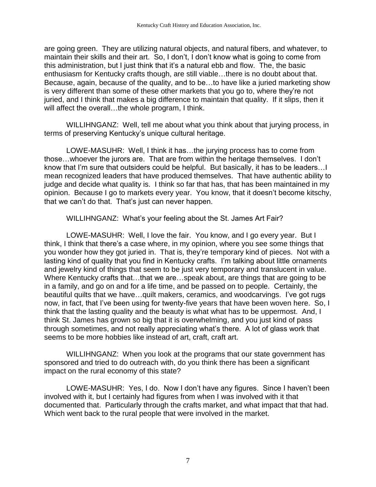are going green. They are utilizing natural objects, and natural fibers, and whatever, to maintain their skills and their art. So, I don't, I don't know what is going to come from this administration, but I just think that it's a natural ebb and flow. The, the basic enthusiasm for Kentucky crafts though, are still viable…there is no doubt about that. Because, again, because of the quality, and to be…to have like a juried marketing show is very different than some of these other markets that you go to, where they're not juried, and I think that makes a big difference to maintain that quality. If it slips, then it will affect the overall...the whole program, I think.

WILLIHNGANZ: Well, tell me about what you think about that jurying process, in terms of preserving Kentucky's unique cultural heritage.

LOWE-MASUHR: Well, I think it has…the jurying process has to come from those…whoever the jurors are. That are from within the heritage themselves. I don't know that I'm sure that outsiders could be helpful. But basically, it has to be leaders…I mean recognized leaders that have produced themselves. That have authentic ability to judge and decide what quality is. I think so far that has, that has been maintained in my opinion. Because I go to markets every year. You know, that it doesn't become kitschy, that we can't do that. That's just can never happen.

WILLIHNGANZ: What's your feeling about the St. James Art Fair?

LOWE-MASUHR: Well, I love the fair. You know, and I go every year. But I think, I think that there's a case where, in my opinion, where you see some things that you wonder how they got juried in. That is, they're temporary kind of pieces. Not with a lasting kind of quality that you find in Kentucky crafts. I'm talking about little ornaments and jewelry kind of things that seem to be just very temporary and translucent in value. Where Kentucky crafts that…that we are…speak about, are things that are going to be in a family, and go on and for a life time, and be passed on to people. Certainly, the beautiful quilts that we have…quilt makers, ceramics, and woodcarvings. I've got rugs now, in fact, that I've been using for twenty-five years that have been woven here. So, I think that the lasting quality and the beauty is what what has to be uppermost. And, I think St. James has grown so big that it is overwhelming, and you just kind of pass through sometimes, and not really appreciating what's there. A lot of glass work that seems to be more hobbies like instead of art, craft, craft art.

WILLIHNGANZ: When you look at the programs that our state government has sponsored and tried to do outreach with, do you think there has been a significant impact on the rural economy of this state?

LOWE-MASUHR: Yes, I do. Now I don't have any figures. Since I haven't been involved with it, but I certainly had figures from when I was involved with it that documented that. Particularly through the crafts market, and what impact that that had. Which went back to the rural people that were involved in the market.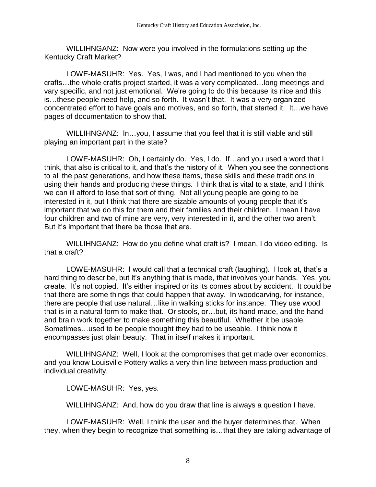WILLIHNGANZ: Now were you involved in the formulations setting up the Kentucky Craft Market?

LOWE-MASUHR: Yes. Yes, I was, and I had mentioned to you when the crafts…the whole crafts project started, it was a very complicated…long meetings and vary specific, and not just emotional. We're going to do this because its nice and this is…these people need help, and so forth. It wasn't that. It was a very organized concentrated effort to have goals and motives, and so forth, that started it. It…we have pages of documentation to show that.

WILLIHNGANZ: In…you, I assume that you feel that it is still viable and still playing an important part in the state?

LOWE-MASUHR: Oh, I certainly do. Yes, I do. If…and you used a word that I think, that also is critical to it, and that's the history of it. When you see the connections to all the past generations, and how these items, these skills and these traditions in using their hands and producing these things. I think that is vital to a state, and I think we can ill afford to lose that sort of thing. Not all young people are going to be interested in it, but I think that there are sizable amounts of young people that it's important that we do this for them and their families and their children. I mean I have four children and two of mine are very, very interested in it, and the other two aren't. But it's important that there be those that are.

WILLIHNGANZ: How do you define what craft is? I mean, I do video editing. Is that a craft?

LOWE-MASUHR: I would call that a technical craft (laughing). I look at, that's a hard thing to describe, but it's anything that is made, that involves your hands. Yes, you create. It's not copied. It's either inspired or its its comes about by accident. It could be that there are some things that could happen that away. In woodcarving, for instance, there are people that use natural…like in walking sticks for instance. They use wood that is in a natural form to make that. Or stools, or…but, its hand made, and the hand and brain work together to make something this beautiful. Whether it be usable. Sometimes…used to be people thought they had to be useable. I think now it encompasses just plain beauty. That in itself makes it important.

WILLIHNGANZ: Well, I look at the compromises that get made over economics, and you know Louisville Pottery walks a very thin line between mass production and individual creativity.

LOWE-MASUHR: Yes, yes.

WILLIHNGANZ: And, how do you draw that line is always a question I have.

LOWE-MASUHR: Well, I think the user and the buyer determines that. When they, when they begin to recognize that something is…that they are taking advantage of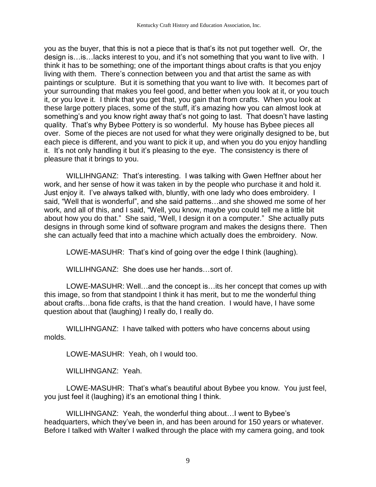you as the buyer, that this is not a piece that is that's its not put together well. Or, the design is…is…lacks interest to you, and it's not something that you want to live with. I think it has to be something; one of the important things about crafts is that you enjoy living with them. There's connection between you and that artist the same as with paintings or sculpture. But it is something that you want to live with. It becomes part of your surrounding that makes you feel good, and better when you look at it, or you touch it, or you love it. I think that you get that, you gain that from crafts. When you look at these large pottery places, some of the stuff, it's amazing how you can almost look at something's and you know right away that's not going to last. That doesn't have lasting quality. That's why Bybee Pottery is so wonderful. My house has Bybee pieces all over. Some of the pieces are not used for what they were originally designed to be, but each piece is different, and you want to pick it up, and when you do you enjoy handling it. It's not only handling it but it's pleasing to the eye. The consistency is there of pleasure that it brings to you.

WILLIHNGANZ: That's interesting. I was talking with Gwen Heffner about her work, and her sense of how it was taken in by the people who purchase it and hold it. Just enjoy it. I've always talked with, bluntly, with one lady who does embroidery. I said, "Well that is wonderful", and she said patterns…and she showed me some of her work, and all of this, and I said, "Well, you know, maybe you could tell me a little bit about how you do that." She said, "Well, I design it on a computer." She actually puts designs in through some kind of software program and makes the designs there. Then she can actually feed that into a machine which actually does the embroidery. Now.

LOWE-MASUHR: That's kind of going over the edge I think (laughing).

WILLIHNGANZ: She does use her hands…sort of.

LOWE-MASUHR: Well…and the concept is…its her concept that comes up with this image, so from that standpoint I think it has merit, but to me the wonderful thing about crafts…bona fide crafts, is that the hand creation. I would have, I have some question about that (laughing) I really do, I really do.

WILLIHNGANZ: I have talked with potters who have concerns about using molds.

LOWE-MASUHR: Yeah, oh I would too.

WILLIHNGANZ: Yeah.

LOWE-MASUHR: That's what's beautiful about Bybee you know. You just feel, you just feel it (laughing) it's an emotional thing I think.

WILLIHNGANZ: Yeah, the wonderful thing about…I went to Bybee's headquarters, which they've been in, and has been around for 150 years or whatever. Before I talked with Walter I walked through the place with my camera going, and took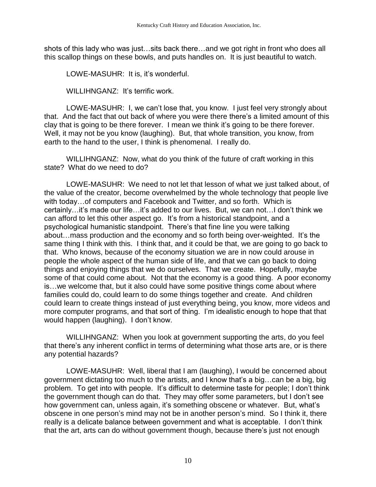shots of this lady who was just…sits back there…and we got right in front who does all this scallop things on these bowls, and puts handles on. It is just beautiful to watch.

LOWE-MASUHR: It is, it's wonderful.

WILLIHNGANZ: It's terrific work.

LOWE-MASUHR: I, we can't lose that, you know. I just feel very strongly about that. And the fact that out back of where you were there there's a limited amount of this clay that is going to be there forever. I mean we think it's going to be there forever. Well, it may not be you know (laughing). But, that whole transition, you know, from earth to the hand to the user, I think is phenomenal. I really do.

WILLIHNGANZ: Now, what do you think of the future of craft working in this state? What do we need to do?

LOWE-MASUHR: We need to not let that lesson of what we just talked about, of the value of the creator, become overwhelmed by the whole technology that people live with today…of computers and Facebook and Twitter, and so forth. Which is certainly…it's made our life…it's added to our lives. But, we can not…I don't think we can afford to let this other aspect go. It's from a historical standpoint, and a psychological humanistic standpoint. There's that fine line you were talking about…mass production and the economy and so forth being over-weighted. It's the same thing I think with this. I think that, and it could be that, we are going to go back to that. Who knows, because of the economy situation we are in now could arouse in people the whole aspect of the human side of life, and that we can go back to doing things and enjoying things that we do ourselves. That we create. Hopefully, maybe some of that could come about. Not that the economy is a good thing. A poor economy is…we welcome that, but it also could have some positive things come about where families could do, could learn to do some things together and create. And children could learn to create things instead of just everything being, you know, more videos and more computer programs, and that sort of thing. I'm idealistic enough to hope that that would happen (laughing). I don't know.

WILLIHNGANZ: When you look at government supporting the arts, do you feel that there's any inherent conflict in terms of determining what those arts are, or is there any potential hazards?

LOWE-MASUHR: Well, liberal that I am (laughing), I would be concerned about government dictating too much to the artists, and I know that's a big…can be a big, big problem. To get into with people. It's difficult to determine taste for people; I don't think the government though can do that. They may offer some parameters, but I don't see how government can, unless again, it's something obscene or whatever. But, what's obscene in one person's mind may not be in another person's mind. So I think it, there really is a delicate balance between government and what is acceptable. I don't think that the art, arts can do without government though, because there's just not enough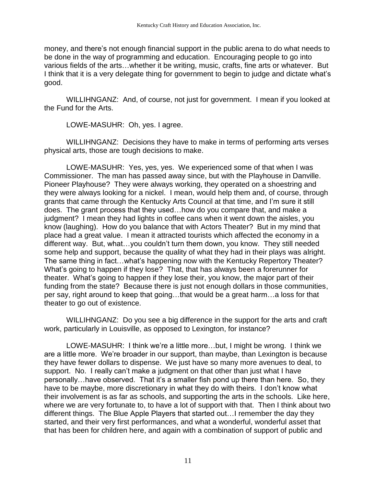money, and there's not enough financial support in the public arena to do what needs to be done in the way of programming and education. Encouraging people to go into various fields of the arts…whether it be writing, music, crafts, fine arts or whatever. But I think that it is a very delegate thing for government to begin to judge and dictate what's good.

WILLIHNGANZ: And, of course, not just for government. I mean if you looked at the Fund for the Arts.

LOWE-MASUHR: Oh, yes. I agree.

WILLIHNGANZ: Decisions they have to make in terms of performing arts verses physical arts, those are tough decisions to make.

LOWE-MASUHR: Yes, yes, yes. We experienced some of that when I was Commissioner. The man has passed away since, but with the Playhouse in Danville. Pioneer Playhouse? They were always working, they operated on a shoestring and they were always looking for a nickel. I mean, would help them and, of course, through grants that came through the Kentucky Arts Council at that time, and I'm sure it still does. The grant process that they used…how do you compare that, and make a judgment? I mean they had lights in coffee cans when it went down the aisles, you know (laughing). How do you balance that with Actors Theater? But in my mind that place had a great value. I mean it attracted tourists which affected the economy in a different way. But, what…you couldn't turn them down, you know. They still needed some help and support, because the quality of what they had in their plays was alright. The same thing in fact…what's happening now with the Kentucky Repertory Theater? What's going to happen if they lose? That, that has always been a forerunner for theater. What's going to happen if they lose their, you know, the major part of their funding from the state? Because there is just not enough dollars in those communities, per say, right around to keep that going…that would be a great harm…a loss for that theater to go out of existence.

WILLIHNGANZ: Do you see a big difference in the support for the arts and craft work, particularly in Louisville, as opposed to Lexington, for instance?

LOWE-MASUHR: I think we're a little more…but, I might be wrong. I think we are a little more. We're broader in our support, than maybe, than Lexington is because they have fewer dollars to dispense. We just have so many more avenues to deal, to support. No. I really can't make a judgment on that other than just what I have personally…have observed. That it's a smaller fish pond up there than here. So, they have to be maybe, more discretionary in what they do with theirs. I don't know what their involvement is as far as schools, and supporting the arts in the schools. Like here, where we are very fortunate to, to have a lot of support with that. Then I think about two different things. The Blue Apple Players that started out…I remember the day they started, and their very first performances, and what a wonderful, wonderful asset that that has been for children here, and again with a combination of support of public and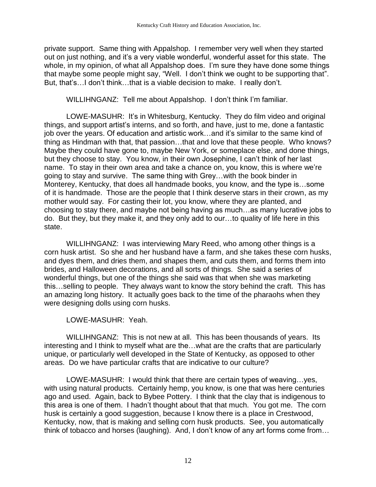private support. Same thing with Appalshop. I remember very well when they started out on just nothing, and it's a very viable wonderful, wonderful asset for this state. The whole, in my opinion, of what all Appalshop does. I'm sure they have done some things that maybe some people might say, "Well. I don't think we ought to be supporting that". But, that's…I don't think…that is a viable decision to make. I really don't.

WILLIHNGANZ: Tell me about Appalshop. I don't think I'm familiar.

LOWE-MASUHR: It's in Whitesburg, Kentucky. They do film video and original things, and support artist's interns, and so forth, and have, just to me, done a fantastic job over the years. Of education and artistic work…and it's similar to the same kind of thing as Hindman with that, that passion…that and love that these people. Who knows? Maybe they could have gone to, maybe New York, or someplace else, and done things, but they choose to stay. You know, in their own Josephine, I can't think of her last name. To stay in their own area and take a chance on, you know, this is where we're going to stay and survive. The same thing with Grey…with the book binder in Monterey, Kentucky, that does all handmade books, you know, and the type is…some of it is handmade. Those are the people that I think deserve stars in their crown, as my mother would say. For casting their lot, you know, where they are planted, and choosing to stay there, and maybe not being having as much…as many lucrative jobs to do. But they, but they make it, and they only add to our…to quality of life here in this state.

WILLIHNGANZ: I was interviewing Mary Reed, who among other things is a corn husk artist. So she and her husband have a farm, and she takes these corn husks, and dyes them, and dries them, and shapes them, and cuts them, and forms them into brides, and Halloween decorations, and all sorts of things. She said a series of wonderful things, but one of the things she said was that when she was marketing this…selling to people. They always want to know the story behind the craft. This has an amazing long history. It actually goes back to the time of the pharaohs when they were designing dolls using corn husks.

LOWE-MASUHR: Yeah.

WILLIHNGANZ: This is not new at all. This has been thousands of years. Its interesting and I think to myself what are the…what are the crafts that are particularly unique, or particularly well developed in the State of Kentucky, as opposed to other areas. Do we have particular crafts that are indicative to our culture?

LOWE-MASUHR: I would think that there are certain types of weaving…yes, with using natural products. Certainly hemp, you know, is one that was here centuries ago and used. Again, back to Bybee Pottery. I think that the clay that is indigenous to this area is one of them. I hadn't thought about that that much. You got me. The corn husk is certainly a good suggestion, because I know there is a place in Crestwood, Kentucky, now, that is making and selling corn husk products. See, you automatically think of tobacco and horses (laughing). And, I don't know of any art forms come from…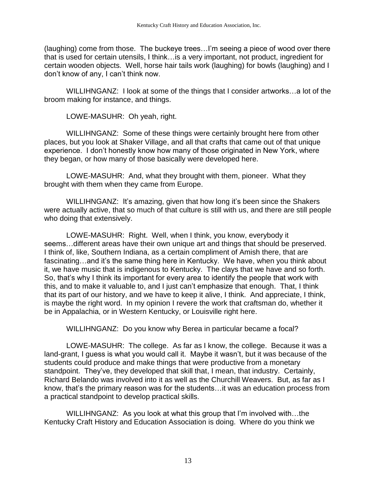(laughing) come from those. The buckeye trees…I'm seeing a piece of wood over there that is used for certain utensils, I think…is a very important, not product, ingredient for certain wooden objects. Well, horse hair tails work (laughing) for bowls (laughing) and I don't know of any, I can't think now.

WILLIHNGANZ: I look at some of the things that I consider artworks…a lot of the broom making for instance, and things.

LOWE-MASUHR: Oh yeah, right.

WILLIHNGANZ: Some of these things were certainly brought here from other places, but you look at Shaker Village, and all that crafts that came out of that unique experience. I don't honestly know how many of those originated in New York, where they began, or how many of those basically were developed here.

LOWE-MASUHR: And, what they brought with them, pioneer. What they brought with them when they came from Europe.

WILLIHNGANZ: It's amazing, given that how long it's been since the Shakers were actually active, that so much of that culture is still with us, and there are still people who doing that extensively.

LOWE-MASUHR: Right. Well, when I think, you know, everybody it seems…different areas have their own unique art and things that should be preserved. I think of, like, Southern Indiana, as a certain compliment of Amish there, that are fascinating…and it's the same thing here in Kentucky. We have, when you think about it, we have music that is indigenous to Kentucky. The clays that we have and so forth. So, that's why I think its important for every area to identify the people that work with this, and to make it valuable to, and I just can't emphasize that enough. That, I think that its part of our history, and we have to keep it alive, I think. And appreciate, I think, is maybe the right word. In my opinion I revere the work that craftsman do, whether it be in Appalachia, or in Western Kentucky, or Louisville right here.

WILLIHNGANZ: Do you know why Berea in particular became a focal?

LOWE-MASUHR: The college. As far as I know, the college. Because it was a land-grant, I guess is what you would call it. Maybe it wasn't, but it was because of the students could produce and make things that were productive from a monetary standpoint. They've, they developed that skill that, I mean, that industry. Certainly, Richard Belando was involved into it as well as the Churchill Weavers. But, as far as I know, that's the primary reason was for the students…it was an education process from a practical standpoint to develop practical skills.

WILLIHNGANZ: As you look at what this group that I'm involved with…the Kentucky Craft History and Education Association is doing. Where do you think we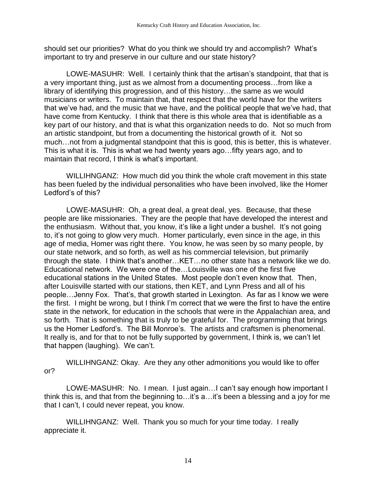should set our priorities? What do you think we should try and accomplish? What's important to try and preserve in our culture and our state history?

LOWE-MASUHR: Well. I certainly think that the artisan's standpoint, that that is a very important thing, just as we almost from a documenting process…from like a library of identifying this progression, and of this history…the same as we would musicians or writers. To maintain that, that respect that the world have for the writers that we've had, and the music that we have, and the political people that we've had, that have come from Kentucky. I think that there is this whole area that is identifiable as a key part of our history, and that is what this organization needs to do. Not so much from an artistic standpoint, but from a documenting the historical growth of it. Not so much…not from a judgmental standpoint that this is good, this is better, this is whatever. This is what it is. This is what we had twenty years ago…fifty years ago, and to maintain that record, I think is what's important.

WILLIHNGANZ: How much did you think the whole craft movement in this state has been fueled by the individual personalities who have been involved, like the Homer Ledford's of this?

LOWE-MASUHR: Oh, a great deal, a great deal, yes. Because, that these people are like missionaries. They are the people that have developed the interest and the enthusiasm. Without that, you know, it's like a light under a bushel. It's not going to, it's not going to glow very much. Homer particularly, even since in the age, in this age of media, Homer was right there. You know, he was seen by so many people, by our state network, and so forth, as well as his commercial television, but primarily through the state. I think that's another…KET…no other state has a network like we do. Educational network. We were one of the…Louisville was one of the first five educational stations in the United States. Most people don't even know that. Then, after Louisville started with our stations, then KET, and Lynn Press and all of his people…Jenny Fox. That's, that growth started in Lexington. As far as I know we were the first. I might be wrong, but I think I'm correct that we were the first to have the entire state in the network, for education in the schools that were in the Appalachian area, and so forth. That is something that is truly to be grateful for. The programming that brings us the Homer Ledford's. The Bill Monroe's. The artists and craftsmen is phenomenal. It really is, and for that to not be fully supported by government, I think is, we can't let that happen (laughing). We can't.

WILLIHNGANZ: Okay. Are they any other admonitions you would like to offer or?

LOWE-MASUHR: No. I mean. I just again…I can't say enough how important I think this is, and that from the beginning to…it's a…it's been a blessing and a joy for me that I can't, I could never repeat, you know.

WILLIHNGANZ: Well. Thank you so much for your time today. I really appreciate it.